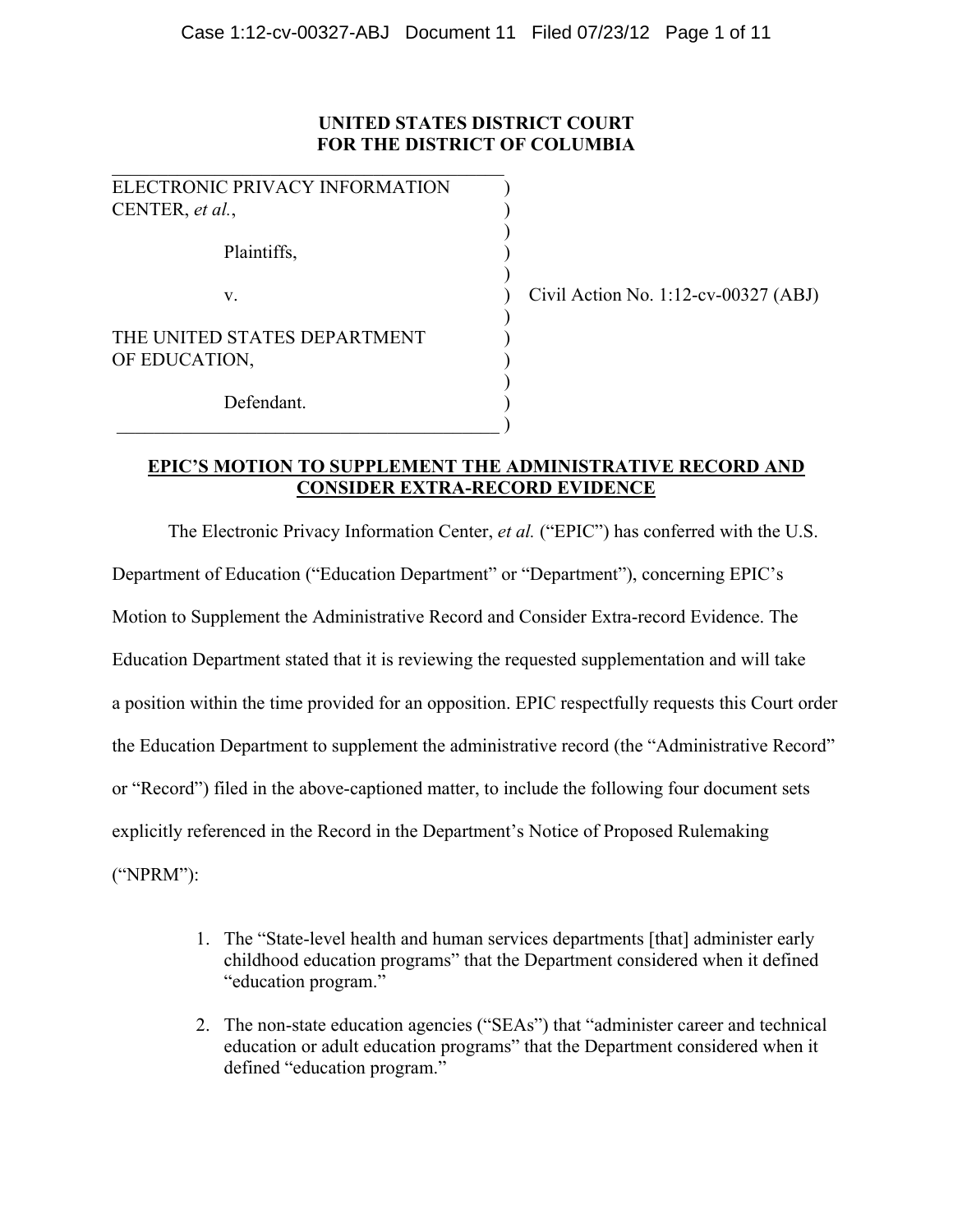## **UNITED STATES DISTRICT COURT FOR THE DISTRICT OF COLUMBIA**

| ELECTRONIC PRIVACY INFORMATION |       |
|--------------------------------|-------|
| CENTER, et al.,                |       |
|                                |       |
| Plaintiffs,                    |       |
| $V_{-}$                        | Civil |
|                                |       |
| THE UNITED STATES DEPARTMENT   |       |
| OF EDUCATION,                  |       |
|                                |       |
| Defendant.                     |       |

 $\qquad \qquad \qquad .$ 

Civil Action No. 1:12-cv-00327  $(ABJ)$ 

## **EPIC'S MOTION TO SUPPLEMENT THE ADMINISTRATIVE RECORD AND CONSIDER EXTRA-RECORD EVIDENCE**

The Electronic Privacy Information Center, *et al.* ("EPIC") has conferred with the U.S. Department of Education ("Education Department" or "Department"), concerning EPIC's Motion to Supplement the Administrative Record and Consider Extra-record Evidence. The Education Department stated that it is reviewing the requested supplementation and will take a position within the time provided for an opposition. EPIC respectfully requests this Court order the Education Department to supplement the administrative record (the "Administrative Record" or "Record") filed in the above-captioned matter, to include the following four document sets explicitly referenced in the Record in the Department's Notice of Proposed Rulemaking ("NPRM"):

- 1. The "State-level health and human services departments [that] administer early childhood education programs" that the Department considered when it defined "education program."
- 2. The non-state education agencies ("SEAs") that "administer career and technical education or adult education programs" that the Department considered when it defined "education program."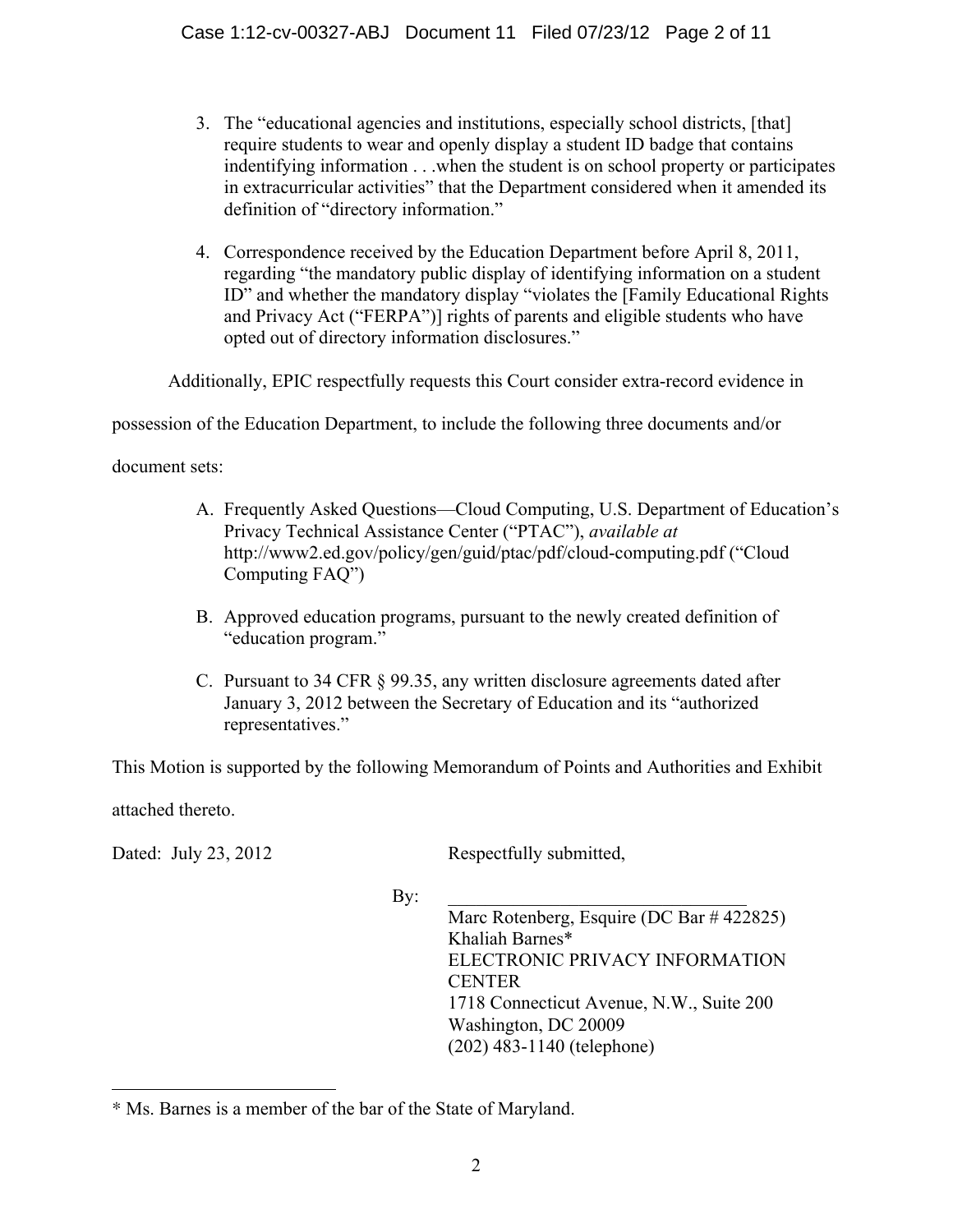- 3. The "educational agencies and institutions, especially school districts, [that] require students to wear and openly display a student ID badge that contains indentifying information . . .when the student is on school property or participates in extracurricular activities" that the Department considered when it amended its definition of "directory information."
- 4. Correspondence received by the Education Department before April 8, 2011, regarding "the mandatory public display of identifying information on a student ID" and whether the mandatory display "violates the [Family Educational Rights and Privacy Act ("FERPA")] rights of parents and eligible students who have opted out of directory information disclosures."

Additionally, EPIC respectfully requests this Court consider extra-record evidence in

possession of the Education Department, to include the following three documents and/or

document sets:

- A. Frequently Asked Questions—Cloud Computing, U.S. Department of Education's Privacy Technical Assistance Center ("PTAC"), *available at* http://www2.ed.gov/policy/gen/guid/ptac/pdf/cloud-computing.pdf ("Cloud Computing FAQ")
- B. Approved education programs, pursuant to the newly created definition of "education program."
- C. Pursuant to 34 CFR § 99.35, any written disclosure agreements dated after January 3, 2012 between the Secretary of Education and its "authorized representatives."

This Motion is supported by the following Memorandum of Points and Authorities and Exhibit

attached thereto.

 $\overline{a}$ 

Dated: July 23, 2012 Respectfully submitted,

By:  $\Box$ Marc Rotenberg, Esquire (DC Bar # 422825) Khaliah Barnes\* ELECTRONIC PRIVACY INFORMATION **CENTER** 1718 Connecticut Avenue, N.W., Suite 200 Washington, DC 20009 (202) 483-1140 (telephone)

<sup>\*</sup> Ms. Barnes is a member of the bar of the State of Maryland.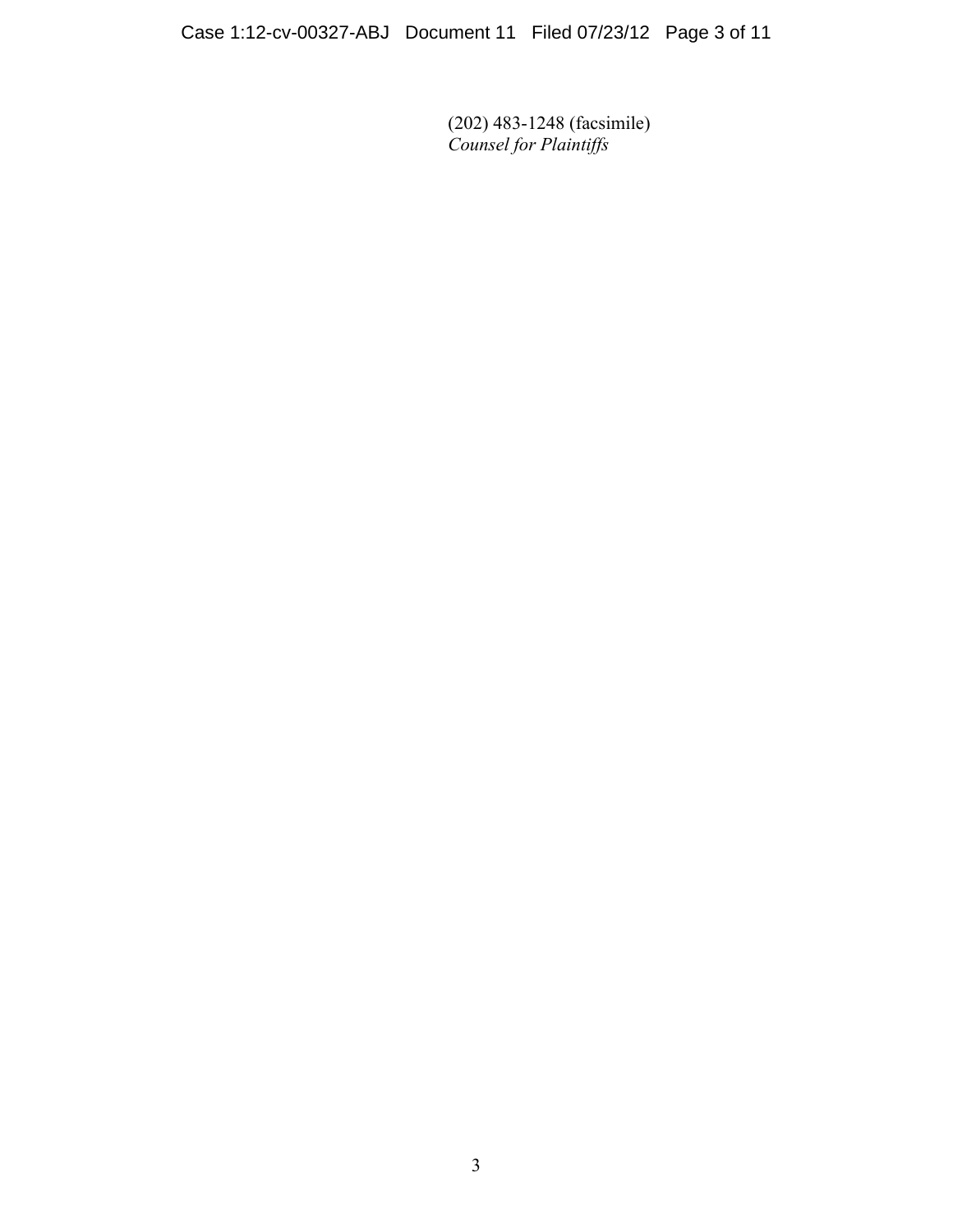(202) 483-1248 (facsimile) *Counsel for Plaintiffs*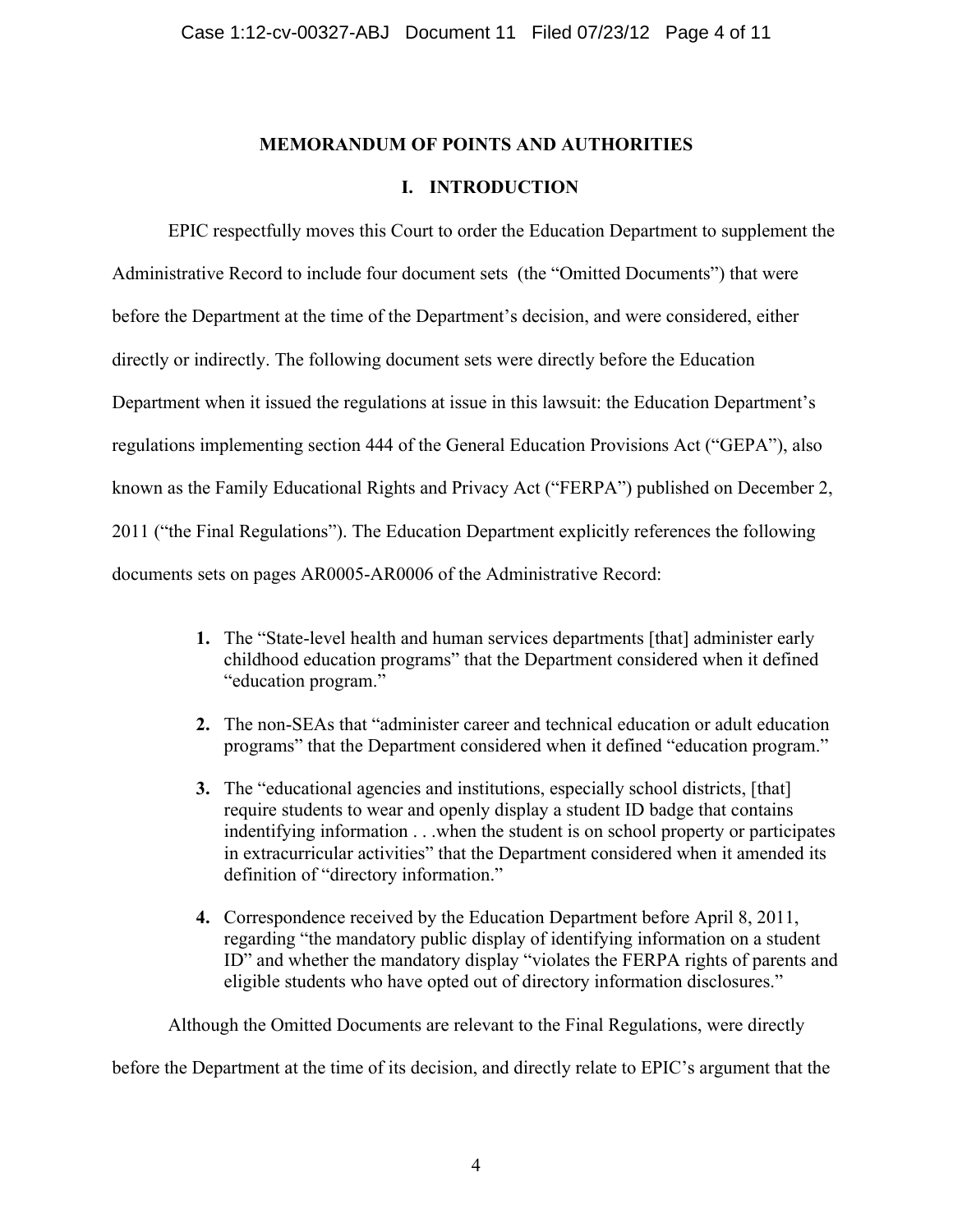# **MEMORANDUM OF POINTS AND AUTHORITIES**

## **I. INTRODUCTION**

EPIC respectfully moves this Court to order the Education Department to supplement the Administrative Record to include four document sets (the "Omitted Documents") that were before the Department at the time of the Department's decision, and were considered, either directly or indirectly. The following document sets were directly before the Education Department when it issued the regulations at issue in this lawsuit: the Education Department's regulations implementing section 444 of the General Education Provisions Act ("GEPA"), also known as the Family Educational Rights and Privacy Act ("FERPA") published on December 2, 2011 ("the Final Regulations"). The Education Department explicitly references the following documents sets on pages AR0005-AR0006 of the Administrative Record:

- **1.** The "State-level health and human services departments [that] administer early childhood education programs" that the Department considered when it defined "education program."
- **2.** The non-SEAs that "administer career and technical education or adult education programs" that the Department considered when it defined "education program."
- **3.** The "educational agencies and institutions, especially school districts, [that] require students to wear and openly display a student ID badge that contains indentifying information . . .when the student is on school property or participates in extracurricular activities" that the Department considered when it amended its definition of "directory information."
- **4.** Correspondence received by the Education Department before April 8, 2011, regarding "the mandatory public display of identifying information on a student ID" and whether the mandatory display "violates the FERPA rights of parents and eligible students who have opted out of directory information disclosures."

Although the Omitted Documents are relevant to the Final Regulations, were directly

before the Department at the time of its decision, and directly relate to EPIC's argument that the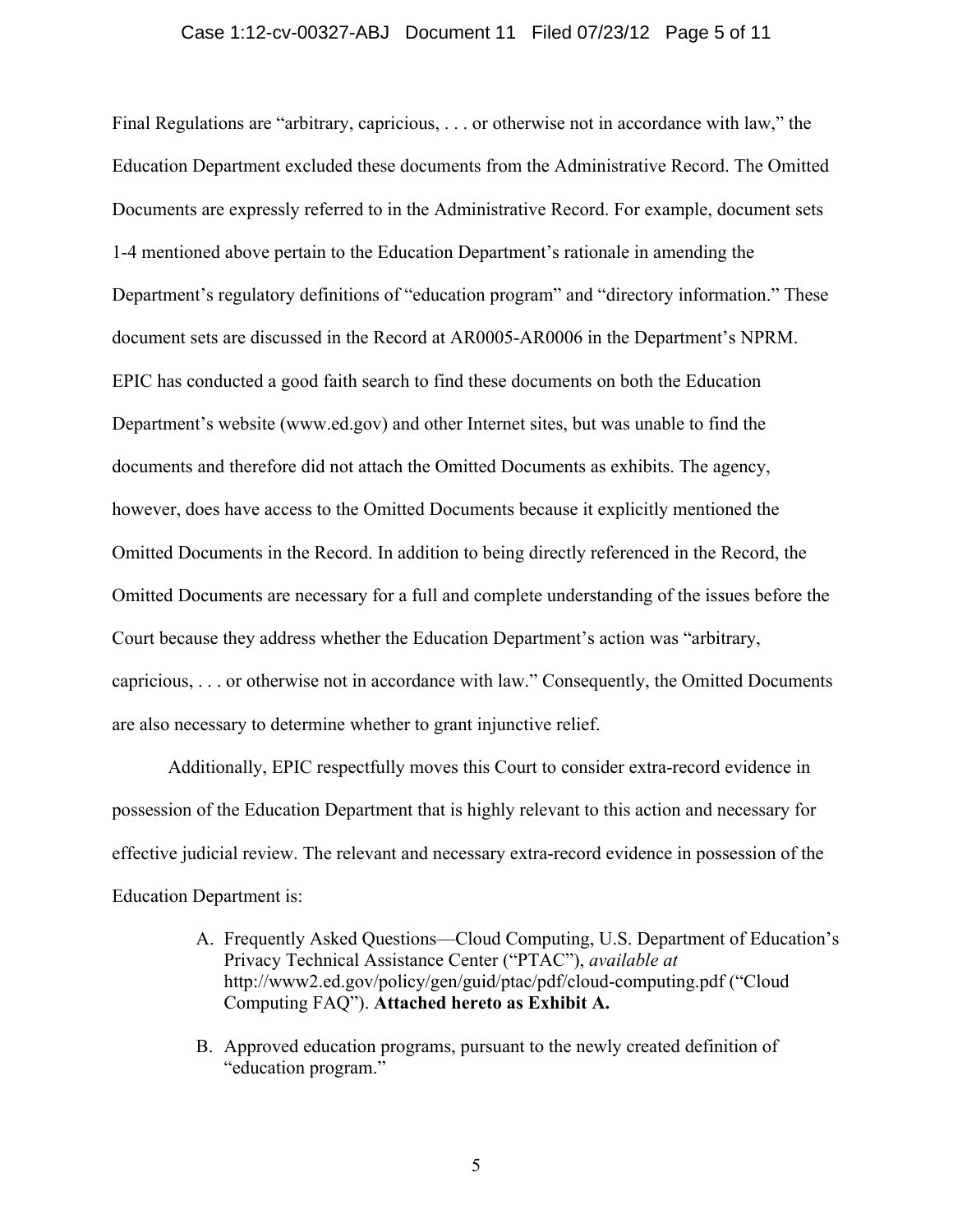#### Case 1:12-cv-00327-ABJ Document 11 Filed 07/23/12 Page 5 of 11

Final Regulations are "arbitrary, capricious, . . . or otherwise not in accordance with law," the Education Department excluded these documents from the Administrative Record. The Omitted Documents are expressly referred to in the Administrative Record. For example, document sets 1-4 mentioned above pertain to the Education Department's rationale in amending the Department's regulatory definitions of "education program" and "directory information." These document sets are discussed in the Record at AR0005-AR0006 in the Department's NPRM. EPIC has conducted a good faith search to find these documents on both the Education Department's website (www.ed.gov) and other Internet sites, but was unable to find the documents and therefore did not attach the Omitted Documents as exhibits. The agency, however, does have access to the Omitted Documents because it explicitly mentioned the Omitted Documents in the Record. In addition to being directly referenced in the Record, the Omitted Documents are necessary for a full and complete understanding of the issues before the Court because they address whether the Education Department's action was "arbitrary, capricious, . . . or otherwise not in accordance with law." Consequently, the Omitted Documents are also necessary to determine whether to grant injunctive relief.

Additionally, EPIC respectfully moves this Court to consider extra-record evidence in possession of the Education Department that is highly relevant to this action and necessary for effective judicial review. The relevant and necessary extra-record evidence in possession of the Education Department is:

- A. Frequently Asked Questions—Cloud Computing, U.S. Department of Education's Privacy Technical Assistance Center ("PTAC"), *available at*  http://www2.ed.gov/policy/gen/guid/ptac/pdf/cloud-computing.pdf ("Cloud Computing FAQ"). **Attached hereto as Exhibit A.**
- B. Approved education programs, pursuant to the newly created definition of "education program."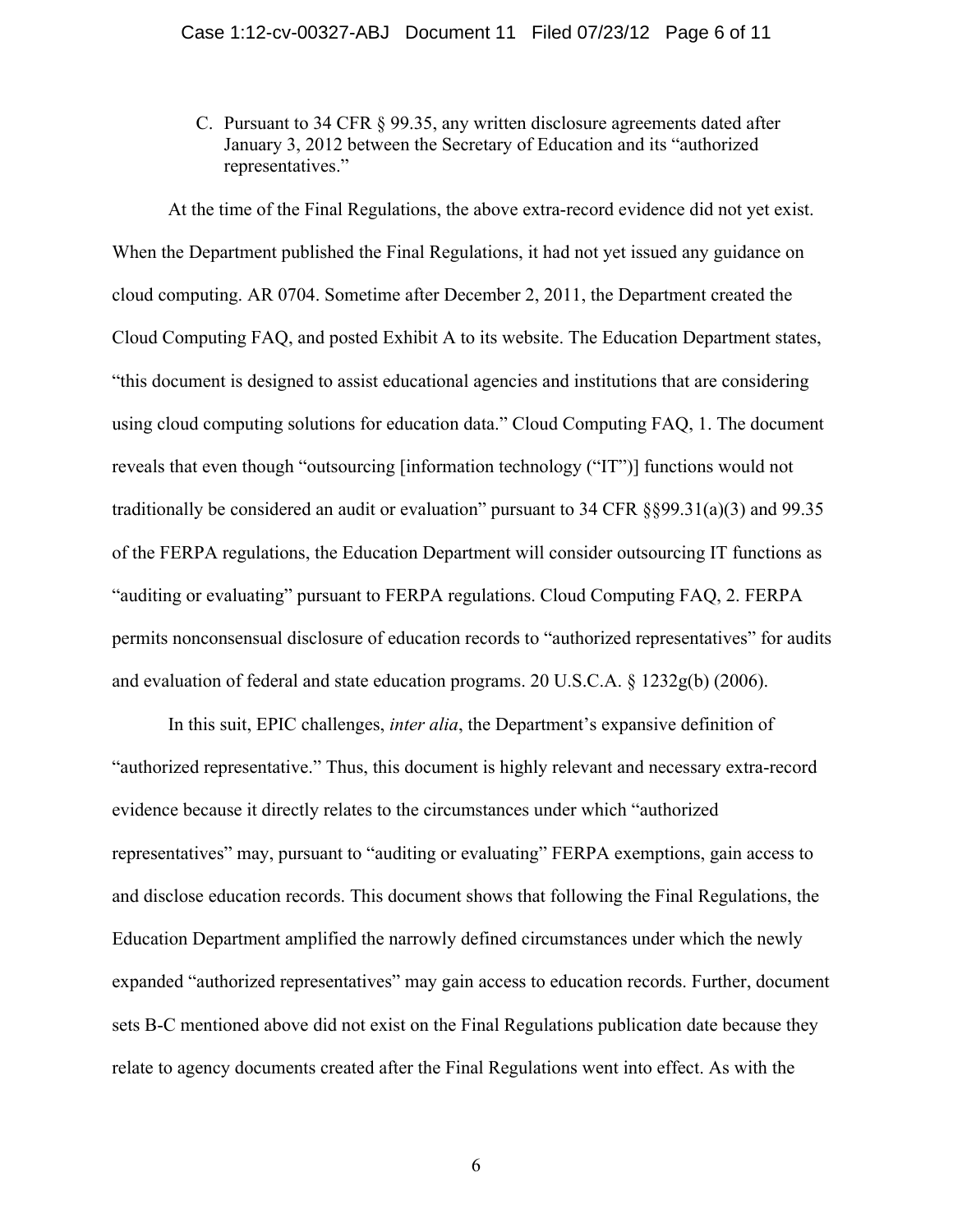C. Pursuant to 34 CFR § 99.35, any written disclosure agreements dated after January 3, 2012 between the Secretary of Education and its "authorized representatives."

At the time of the Final Regulations, the above extra-record evidence did not yet exist. When the Department published the Final Regulations, it had not yet issued any guidance on cloud computing. AR 0704. Sometime after December 2, 2011, the Department created the Cloud Computing FAQ, and posted Exhibit A to its website. The Education Department states, "this document is designed to assist educational agencies and institutions that are considering using cloud computing solutions for education data." Cloud Computing FAQ, 1. The document reveals that even though "outsourcing [information technology ("IT")] functions would not traditionally be considered an audit or evaluation" pursuant to 34 CFR §§99.31(a)(3) and 99.35 of the FERPA regulations, the Education Department will consider outsourcing IT functions as "auditing or evaluating" pursuant to FERPA regulations. Cloud Computing FAQ, 2. FERPA permits nonconsensual disclosure of education records to "authorized representatives" for audits and evaluation of federal and state education programs. 20 U.S.C.A. § 1232g(b) (2006).

In this suit, EPIC challenges, *inter alia*, the Department's expansive definition of "authorized representative." Thus, this document is highly relevant and necessary extra-record evidence because it directly relates to the circumstances under which "authorized representatives" may, pursuant to "auditing or evaluating" FERPA exemptions, gain access to and disclose education records. This document shows that following the Final Regulations, the Education Department amplified the narrowly defined circumstances under which the newly expanded "authorized representatives" may gain access to education records. Further, document sets B-C mentioned above did not exist on the Final Regulations publication date because they relate to agency documents created after the Final Regulations went into effect. As with the

6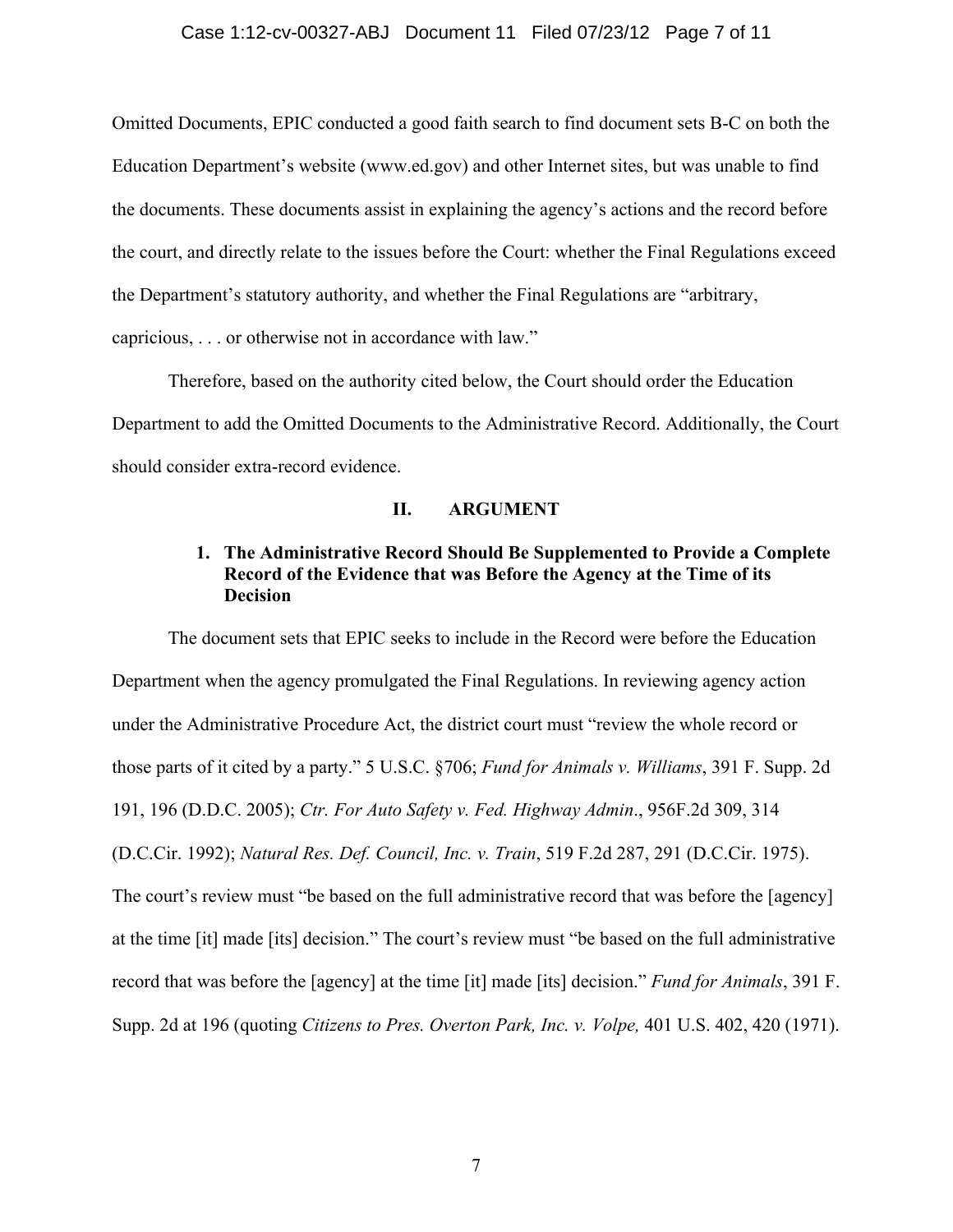#### Case 1:12-cv-00327-ABJ Document 11 Filed 07/23/12 Page 7 of 11

Omitted Documents, EPIC conducted a good faith search to find document sets B-C on both the Education Department's website (www.ed.gov) and other Internet sites, but was unable to find the documents. These documents assist in explaining the agency's actions and the record before the court, and directly relate to the issues before the Court: whether the Final Regulations exceed the Department's statutory authority, and whether the Final Regulations are "arbitrary, capricious, . . . or otherwise not in accordance with law."

Therefore, based on the authority cited below, the Court should order the Education Department to add the Omitted Documents to the Administrative Record. Additionally, the Court should consider extra-record evidence.

### **II. ARGUMENT**

## **1. The Administrative Record Should Be Supplemented to Provide a Complete Record of the Evidence that was Before the Agency at the Time of its Decision**

The document sets that EPIC seeks to include in the Record were before the Education Department when the agency promulgated the Final Regulations. In reviewing agency action under the Administrative Procedure Act, the district court must "review the whole record or those parts of it cited by a party." 5 U.S.C. §706; *Fund for Animals v. Williams*, 391 F. Supp. 2d 191, 196 (D.D.C. 2005); *Ctr. For Auto Safety v. Fed. Highway Admin*., 956F.2d 309, 314 (D.C.Cir. 1992); *Natural Res. Def. Council, Inc. v. Train*, 519 F.2d 287, 291 (D.C.Cir. 1975). The court's review must "be based on the full administrative record that was before the [agency] at the time [it] made [its] decision." The court's review must "be based on the full administrative record that was before the [agency] at the time [it] made [its] decision." *Fund for Animals*, 391 F. Supp. 2d at 196 (quoting *Citizens to Pres. Overton Park, Inc. v. Volpe,* 401 U.S. 402, 420 (1971).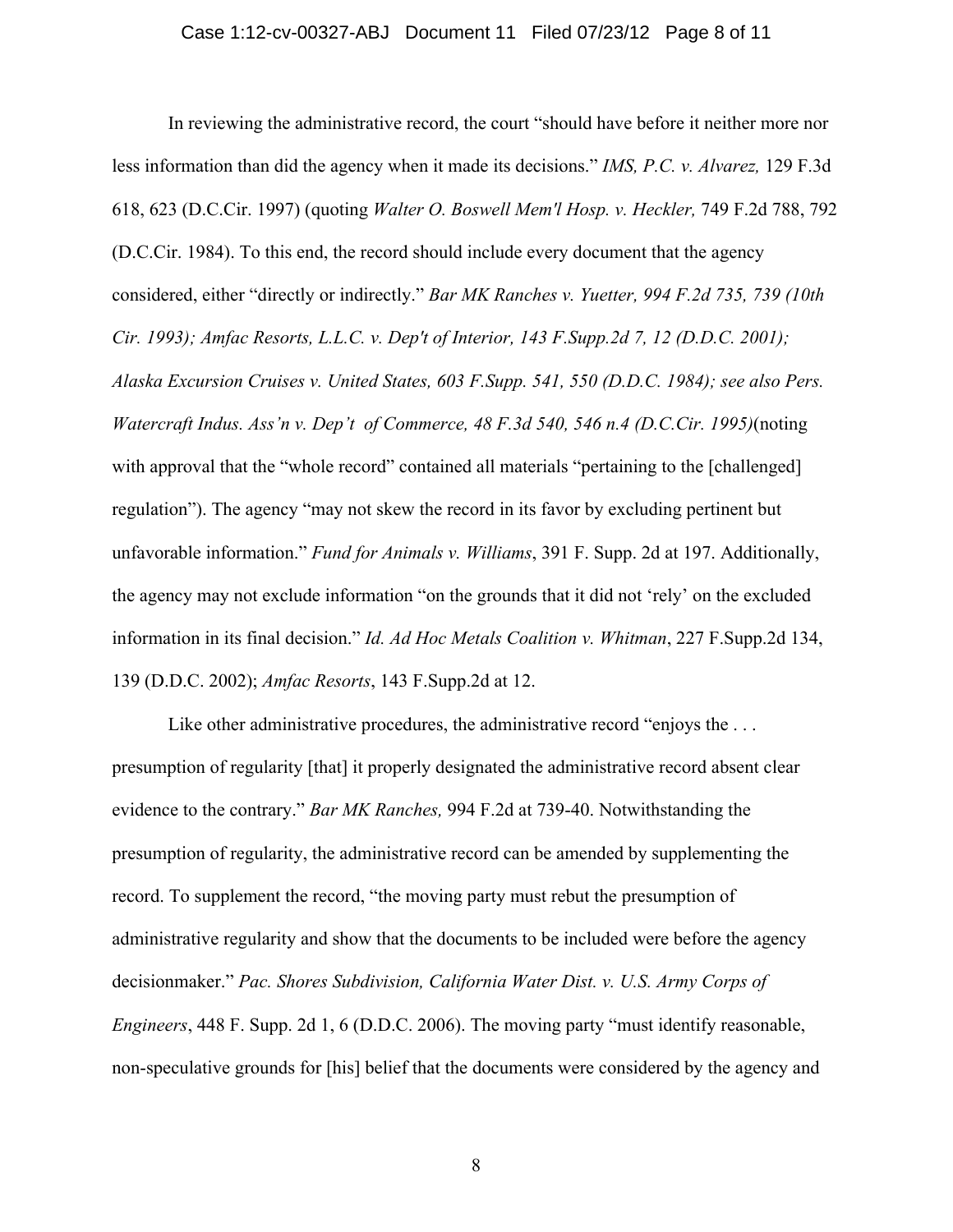In reviewing the administrative record, the court "should have before it neither more nor less information than did the agency when it made its decisions." *IMS, P.C. v. Alvarez,* 129 F.3d 618, 623 (D.C.Cir. 1997) (quoting *Walter O. Boswell Mem'l Hosp. v. Heckler,* 749 F.2d 788, 792 (D.C.Cir. 1984). To this end, the record should include every document that the agency considered, either "directly or indirectly." *Bar MK Ranches v. Yuetter, 994 F.2d 735, 739 (10th Cir. 1993); Amfac Resorts, L.L.C. v. Dep't of Interior, 143 F.Supp.2d 7, 12 (D.D.C. 2001); Alaska Excursion Cruises v. United States, 603 F.Supp. 541, 550 (D.D.C. 1984); see also Pers. Watercraft Indus. Ass'n v. Dep't of Commerce, 48 F.3d 540, 546 n.4 (D.C.Cir. 1995)*(noting with approval that the "whole record" contained all materials "pertaining to the [challenged] regulation"). The agency "may not skew the record in its favor by excluding pertinent but unfavorable information." *Fund for Animals v. Williams*, 391 F. Supp. 2d at 197. Additionally, the agency may not exclude information "on the grounds that it did not 'rely' on the excluded information in its final decision." *Id. Ad Hoc Metals Coalition v. Whitman*, 227 F.Supp.2d 134, 139 (D.D.C. 2002); *Amfac Resorts*, 143 F.Supp.2d at 12.

Like other administrative procedures, the administrative record "enjoys the ... presumption of regularity [that] it properly designated the administrative record absent clear evidence to the contrary." *Bar MK Ranches,* 994 F.2d at 739-40. Notwithstanding the presumption of regularity, the administrative record can be amended by supplementing the record. To supplement the record, "the moving party must rebut the presumption of administrative regularity and show that the documents to be included were before the agency decisionmaker." *Pac. Shores Subdivision, California Water Dist. v. U.S. Army Corps of Engineers*, 448 F. Supp. 2d 1, 6 (D.D.C. 2006). The moving party "must identify reasonable, non-speculative grounds for [his] belief that the documents were considered by the agency and

8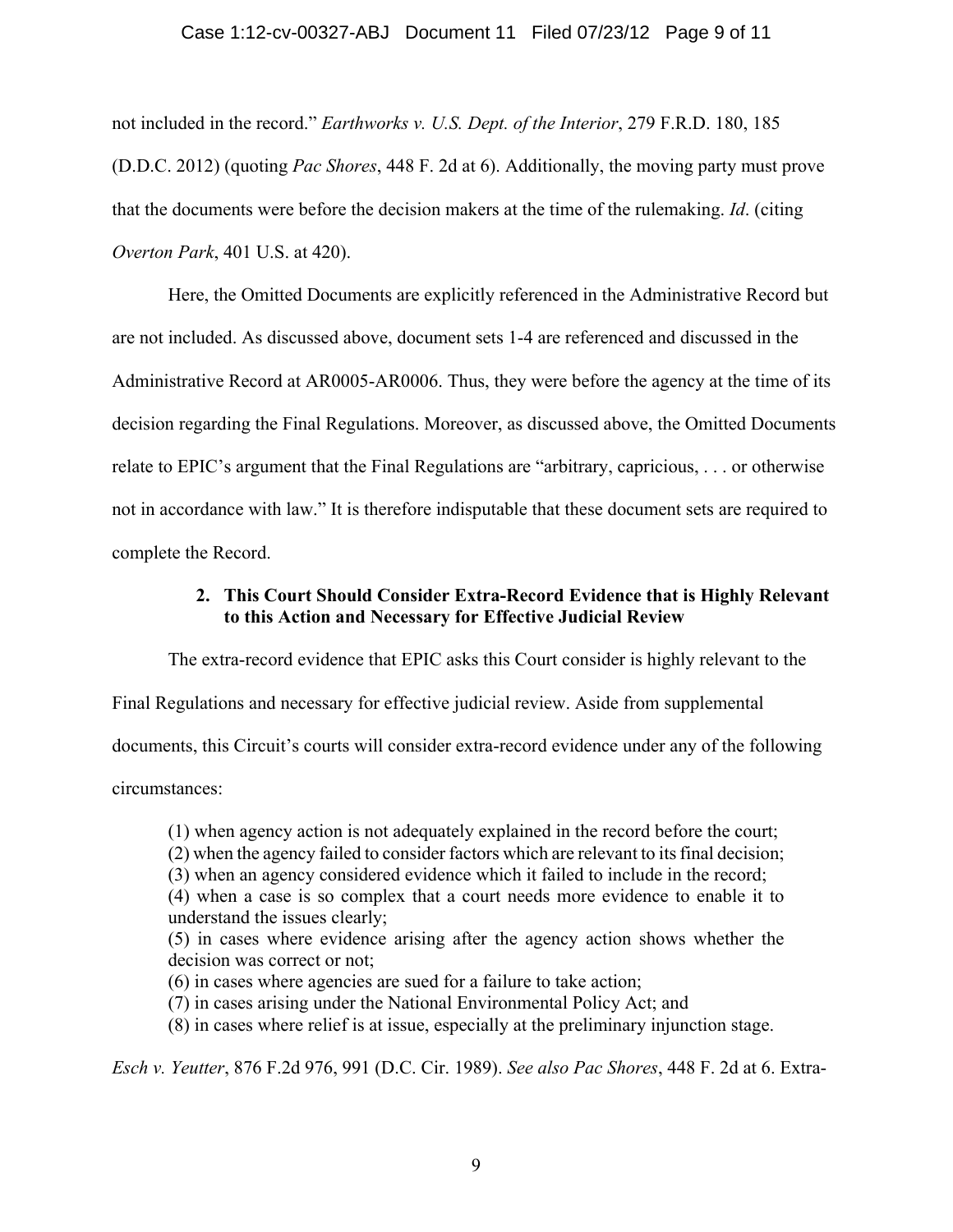### Case 1:12-cv-00327-ABJ Document 11 Filed 07/23/12 Page 9 of 11

not included in the record." *Earthworks v. U.S. Dept. of the Interior*, 279 F.R.D. 180, 185 (D.D.C. 2012) (quoting *Pac Shores*, 448 F. 2d at 6). Additionally, the moving party must prove that the documents were before the decision makers at the time of the rulemaking. *Id*. (citing *Overton Park*, 401 U.S. at 420).

Here, the Omitted Documents are explicitly referenced in the Administrative Record but are not included. As discussed above, document sets 1-4 are referenced and discussed in the Administrative Record at AR0005-AR0006. Thus, they were before the agency at the time of its decision regarding the Final Regulations. Moreover, as discussed above, the Omitted Documents relate to EPIC's argument that the Final Regulations are "arbitrary, capricious, . . . or otherwise not in accordance with law." It is therefore indisputable that these document sets are required to complete the Record.

### **2. This Court Should Consider Extra-Record Evidence that is Highly Relevant to this Action and Necessary for Effective Judicial Review**

The extra-record evidence that EPIC asks this Court consider is highly relevant to the

Final Regulations and necessary for effective judicial review. Aside from supplemental

documents, this Circuit's courts will consider extra-record evidence under any of the following

circumstances:

(1) when agency action is not adequately explained in the record before the court;

- (2) when the agency failed to consider factors which are relevant to its final decision;
- (3) when an agency considered evidence which it failed to include in the record;
- (4) when a case is so complex that a court needs more evidence to enable it to understand the issues clearly;
- (5) in cases where evidence arising after the agency action shows whether the decision was correct or not;
- (6) in cases where agencies are sued for a failure to take action;
- (7) in cases arising under the National Environmental Policy Act; and
- (8) in cases where relief is at issue, especially at the preliminary injunction stage.

*Esch v. Yeutter*, 876 F.2d 976, 991 (D.C. Cir. 1989). *See also Pac Shores*, 448 F. 2d at 6. Extra-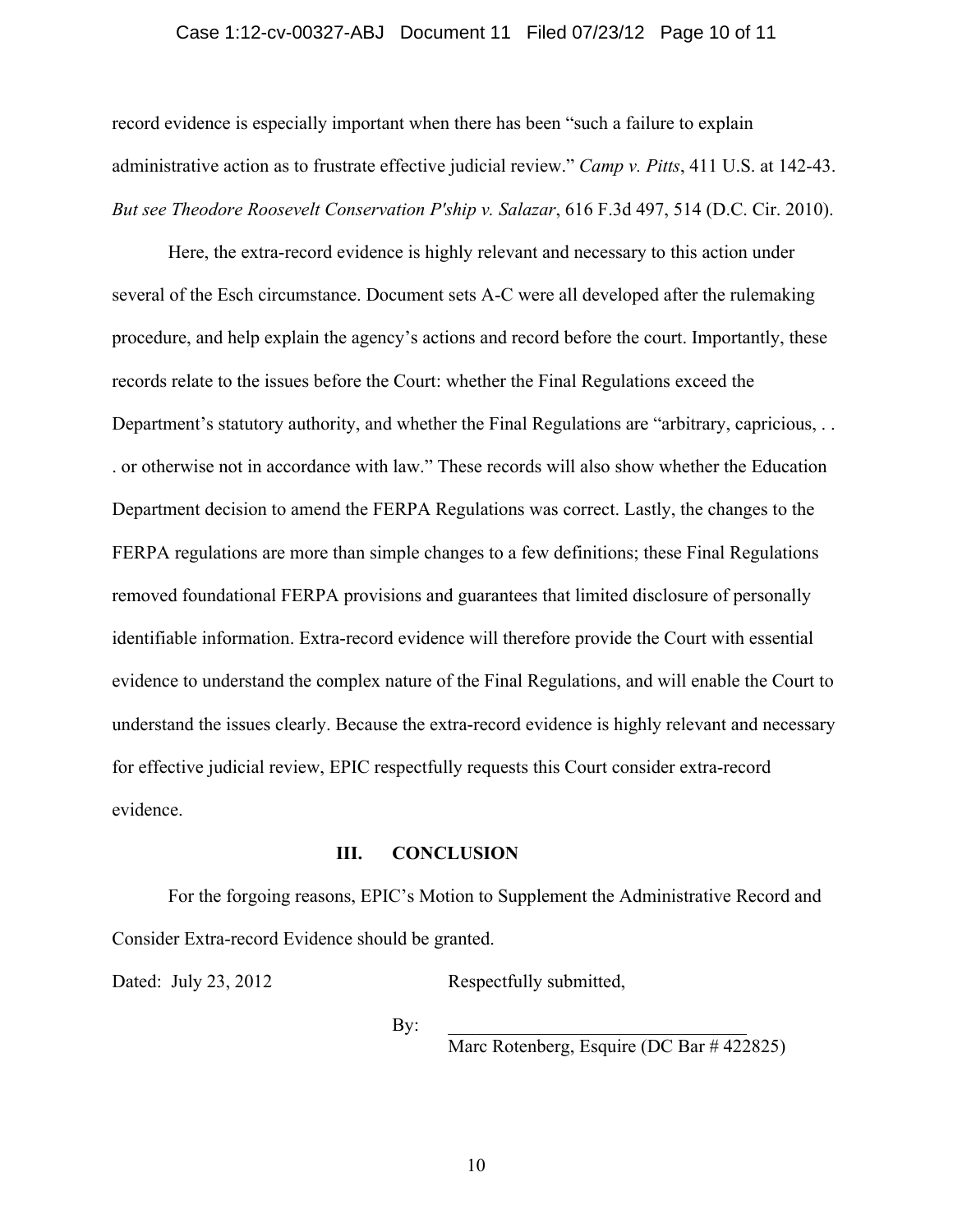### Case 1:12-cv-00327-ABJ Document 11 Filed 07/23/12 Page 10 of 11

record evidence is especially important when there has been "such a failure to explain administrative action as to frustrate effective judicial review." *Camp v. Pitts*, 411 U.S. at 142-43. *But see Theodore Roosevelt Conservation P'ship v. Salazar*, 616 F.3d 497, 514 (D.C. Cir. 2010).

Here, the extra-record evidence is highly relevant and necessary to this action under several of the Esch circumstance. Document sets A-C were all developed after the rulemaking procedure, and help explain the agency's actions and record before the court. Importantly, these records relate to the issues before the Court: whether the Final Regulations exceed the Department's statutory authority, and whether the Final Regulations are "arbitrary, capricious, ... . or otherwise not in accordance with law." These records will also show whether the Education Department decision to amend the FERPA Regulations was correct. Lastly, the changes to the FERPA regulations are more than simple changes to a few definitions; these Final Regulations removed foundational FERPA provisions and guarantees that limited disclosure of personally identifiable information. Extra-record evidence will therefore provide the Court with essential evidence to understand the complex nature of the Final Regulations, and will enable the Court to understand the issues clearly. Because the extra-record evidence is highly relevant and necessary for effective judicial review, EPIC respectfully requests this Court consider extra-record evidence.

### **III. CONCLUSION**

For the forgoing reasons, EPIC's Motion to Supplement the Administrative Record and Consider Extra-record Evidence should be granted.

Dated: July 23, 2012 Respectfully submitted,

By:  $\Box$ 

Marc Rotenberg, Esquire (DC Bar # 422825)